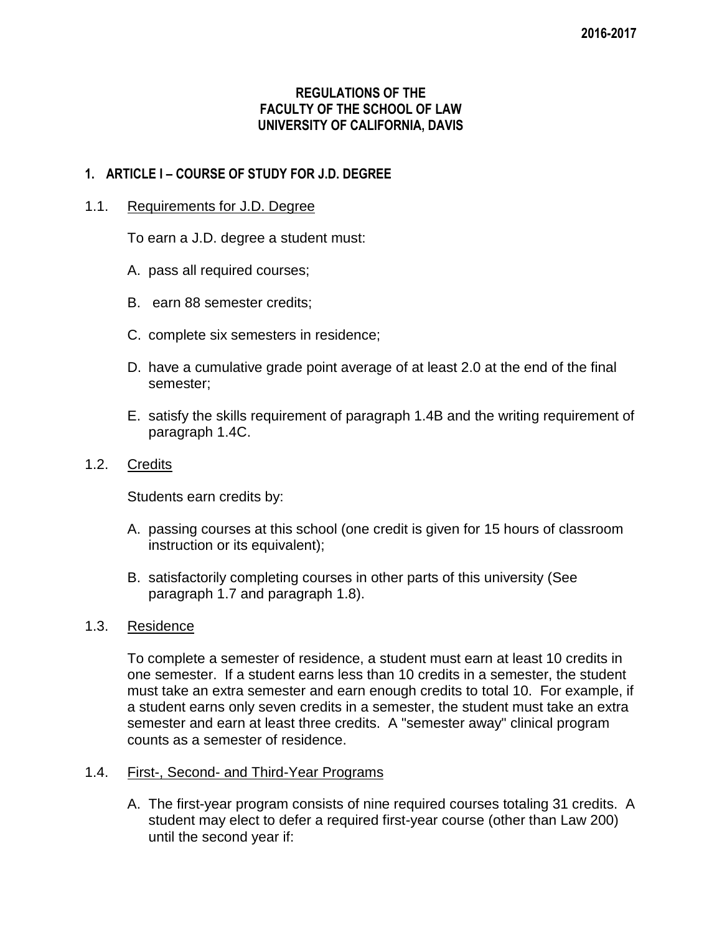#### **REGULATIONS OF THE FACULTY OF THE SCHOOL OF LAW UNIVERSITY OF CALIFORNIA, DAVIS**

## **1. ARTICLE I – COURSE OF STUDY FOR J.D. DEGREE**

#### 1.1. Requirements for J.D. Degree

To earn a J.D. degree a student must:

- A. pass all required courses;
- B. earn 88 semester credits;
- C. complete six semesters in residence;
- D. have a cumulative grade point average of at least 2.0 at the end of the final semester;
- E. satisfy the skills requirement of paragraph 1.4B and the writing requirement of paragraph 1.4C.

#### 1.2. Credits

Students earn credits by:

- A. passing courses at this school (one credit is given for 15 hours of classroom instruction or its equivalent);
- B. satisfactorily completing courses in other parts of this university (See paragraph 1.7 and paragraph 1.8).
- 1.3. Residence

To complete a semester of residence, a student must earn at least 10 credits in one semester. If a student earns less than 10 credits in a semester, the student must take an extra semester and earn enough credits to total 10. For example, if a student earns only seven credits in a semester, the student must take an extra semester and earn at least three credits. A "semester away" clinical program counts as a semester of residence.

- 1.4. First-, Second- and Third-Year Programs
	- A. The first-year program consists of nine required courses totaling 31 credits. A student may elect to defer a required first-year course (other than Law 200) until the second year if: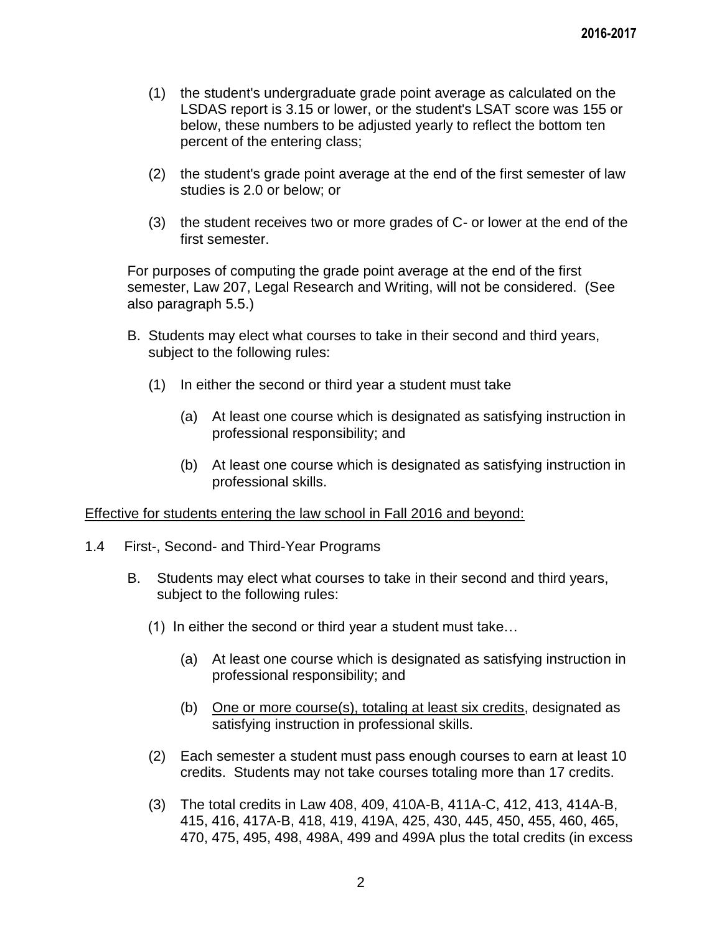- (1) the student's undergraduate grade point average as calculated on the LSDAS report is 3.15 or lower, or the student's LSAT score was 155 or below, these numbers to be adjusted yearly to reflect the bottom ten percent of the entering class;
- (2) the student's grade point average at the end of the first semester of law studies is 2.0 or below; or
- (3) the student receives two or more grades of C- or lower at the end of the first semester.

For purposes of computing the grade point average at the end of the first semester, Law 207, Legal Research and Writing, will not be considered. (See also paragraph 5.5.)

- B. Students may elect what courses to take in their second and third years, subject to the following rules:
	- (1) In either the second or third year a student must take
		- (a) At least one course which is designated as satisfying instruction in professional responsibility; and
		- (b) At least one course which is designated as satisfying instruction in professional skills.

Effective for students entering the law school in Fall 2016 and beyond:

- 1.4 First-, Second- and Third-Year Programs
	- B. Students may elect what courses to take in their second and third years, subject to the following rules:
		- (1) In either the second or third year a student must take…
			- (a) At least one course which is designated as satisfying instruction in professional responsibility; and
			- (b) One or more course(s), totaling at least six credits, designated as satisfying instruction in professional skills.
		- (2) Each semester a student must pass enough courses to earn at least 10 credits. Students may not take courses totaling more than 17 credits.
		- (3) The total credits in Law 408, 409, 410A-B, 411A-C, 412, 413, 414A-B, 415, 416, 417A-B, 418, 419, 419A, 425, 430, 445, 450, 455, 460, 465, 470, 475, 495, 498, 498A, 499 and 499A plus the total credits (in excess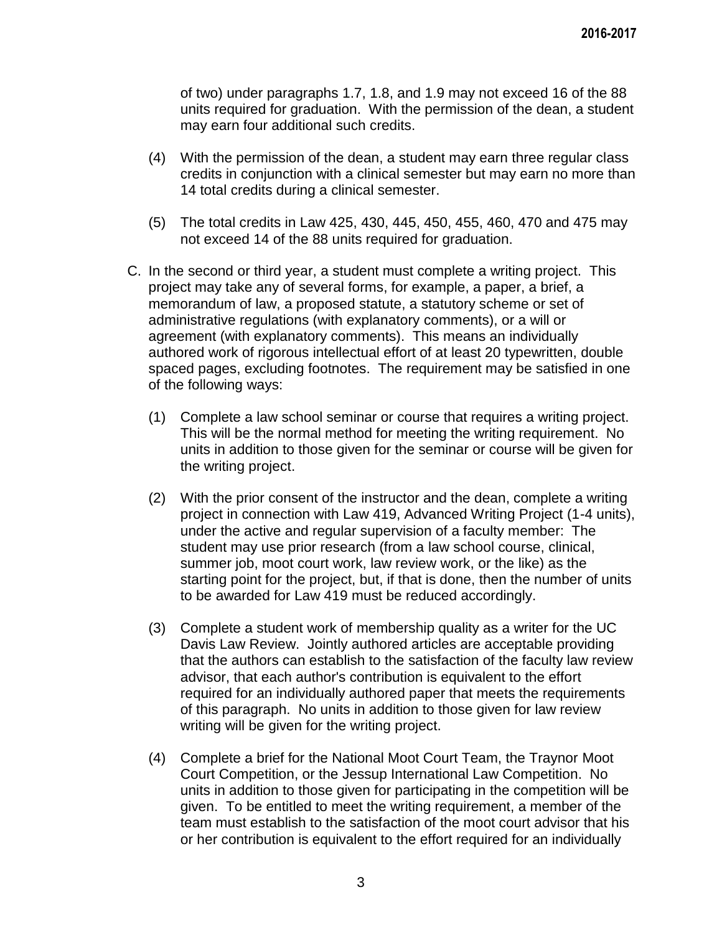of two) under paragraphs 1.7, 1.8, and 1.9 may not exceed 16 of the 88 units required for graduation. With the permission of the dean, a student may earn four additional such credits.

- (4) With the permission of the dean, a student may earn three regular class credits in conjunction with a clinical semester but may earn no more than 14 total credits during a clinical semester.
- (5) The total credits in Law 425, 430, 445, 450, 455, 460, 470 and 475 may not exceed 14 of the 88 units required for graduation.
- C. In the second or third year, a student must complete a writing project. This project may take any of several forms, for example, a paper, a brief, a memorandum of law, a proposed statute, a statutory scheme or set of administrative regulations (with explanatory comments), or a will or agreement (with explanatory comments). This means an individually authored work of rigorous intellectual effort of at least 20 typewritten, double spaced pages, excluding footnotes. The requirement may be satisfied in one of the following ways:
	- (1) Complete a law school seminar or course that requires a writing project. This will be the normal method for meeting the writing requirement. No units in addition to those given for the seminar or course will be given for the writing project.
	- (2) With the prior consent of the instructor and the dean, complete a writing project in connection with Law 419, Advanced Writing Project (1-4 units), under the active and regular supervision of a faculty member: The student may use prior research (from a law school course, clinical, summer job, moot court work, law review work, or the like) as the starting point for the project, but, if that is done, then the number of units to be awarded for Law 419 must be reduced accordingly.
	- (3) Complete a student work of membership quality as a writer for the UC Davis Law Review. Jointly authored articles are acceptable providing that the authors can establish to the satisfaction of the faculty law review advisor, that each author's contribution is equivalent to the effort required for an individually authored paper that meets the requirements of this paragraph. No units in addition to those given for law review writing will be given for the writing project.
	- (4) Complete a brief for the National Moot Court Team, the Traynor Moot Court Competition, or the Jessup International Law Competition. No units in addition to those given for participating in the competition will be given. To be entitled to meet the writing requirement, a member of the team must establish to the satisfaction of the moot court advisor that his or her contribution is equivalent to the effort required for an individually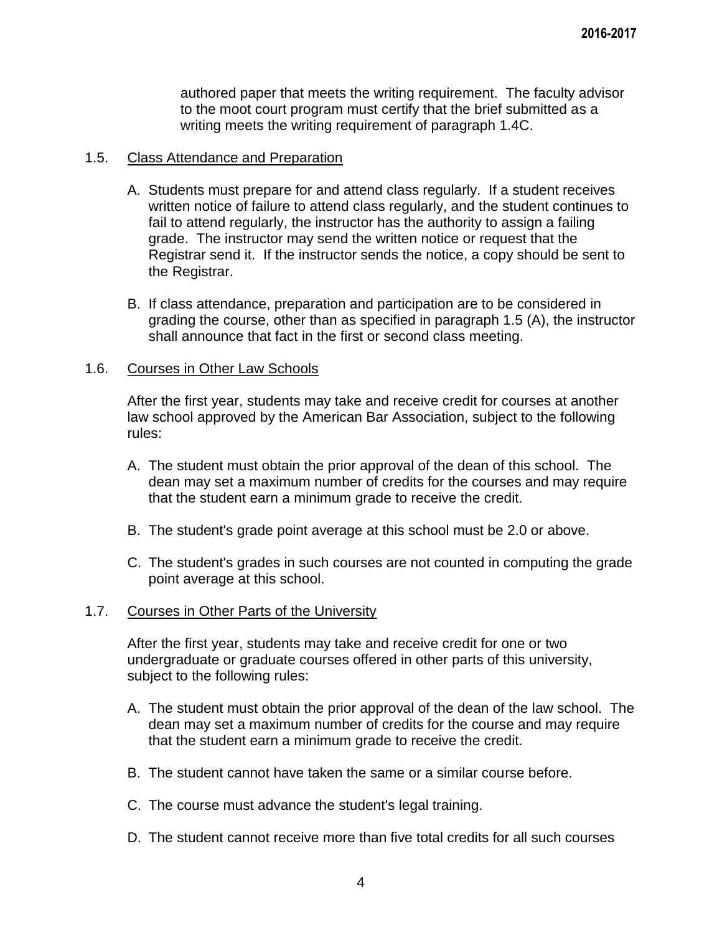authored paper that meets the writing requirement. The faculty advisor to the moot court program must certify that the brief submitted as a writing meets the writing requirement of paragraph 1.4C.

#### 1.5. Class Attendance and Preparation

- A. Students must prepare for and attend class regularly. If a student receives written notice of failure to attend class regularly, and the student continues to fail to attend regularly, the instructor has the authority to assign a failing grade. The instructor may send the written notice or request that the Registrar send it. If the instructor sends the notice, a copy should be sent to the Registrar.
- B. If class attendance, preparation and participation are to be considered in grading the course, other than as specified in paragraph 1.5 (A), the instructor shall announce that fact in the first or second class meeting.

### 1.6. Courses in Other Law Schools

After the first year, students may take and receive credit for courses at another law school approved by the American Bar Association, subject to the following rules:

- A. The student must obtain the prior approval of the dean of this school. The dean may set a maximum number of credits for the courses and may require that the student earn a minimum grade to receive the credit.
- B. The student's grade point average at this school must be 2.0 or above.
- C. The student's grades in such courses are not counted in computing the grade point average at this school.

### 1.7. Courses in Other Parts of the University

After the first year, students may take and receive credit for one or two undergraduate or graduate courses offered in other parts of this university, subject to the following rules:

- A. The student must obtain the prior approval of the dean of the law school. The dean may set a maximum number of credits for the course and may require that the student earn a minimum grade to receive the credit.
- B. The student cannot have taken the same or a similar course before.
- C. The course must advance the student's legal training.
- D. The student cannot receive more than five total credits for all such courses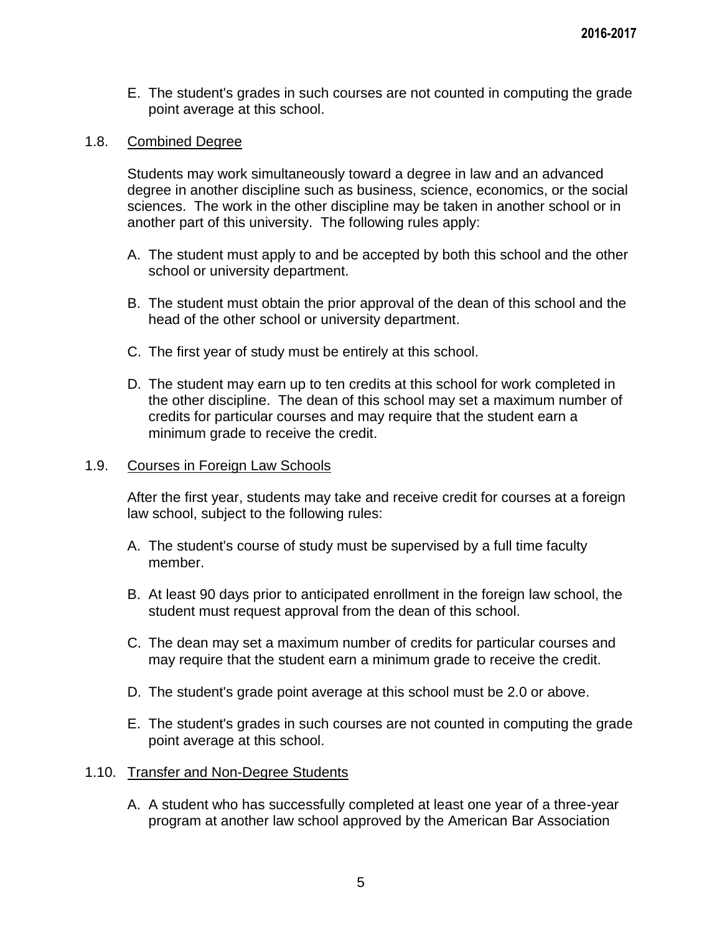- E. The student's grades in such courses are not counted in computing the grade point average at this school.
- 1.8. Combined Degree

Students may work simultaneously toward a degree in law and an advanced degree in another discipline such as business, science, economics, or the social sciences. The work in the other discipline may be taken in another school or in another part of this university. The following rules apply:

- A. The student must apply to and be accepted by both this school and the other school or university department.
- B. The student must obtain the prior approval of the dean of this school and the head of the other school or university department.
- C. The first year of study must be entirely at this school.
- D. The student may earn up to ten credits at this school for work completed in the other discipline. The dean of this school may set a maximum number of credits for particular courses and may require that the student earn a minimum grade to receive the credit.

#### 1.9. Courses in Foreign Law Schools

After the first year, students may take and receive credit for courses at a foreign law school, subject to the following rules:

- A. The student's course of study must be supervised by a full time faculty member.
- B. At least 90 days prior to anticipated enrollment in the foreign law school, the student must request approval from the dean of this school.
- C. The dean may set a maximum number of credits for particular courses and may require that the student earn a minimum grade to receive the credit.
- D. The student's grade point average at this school must be 2.0 or above.
- E. The student's grades in such courses are not counted in computing the grade point average at this school.
- 1.10. Transfer and Non-Degree Students
	- A. A student who has successfully completed at least one year of a three-year program at another law school approved by the American Bar Association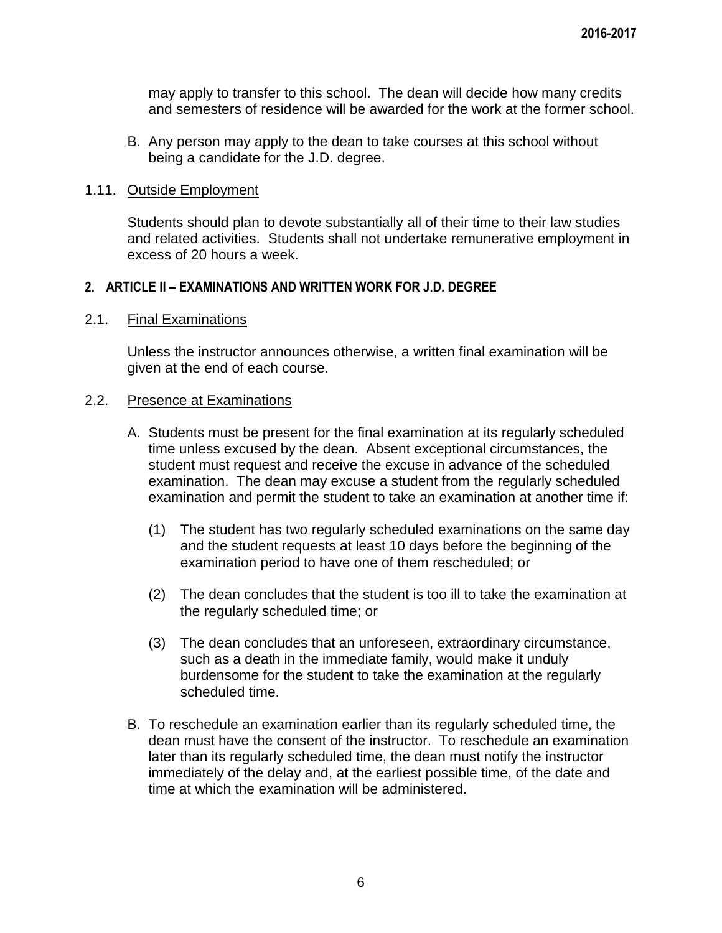may apply to transfer to this school. The dean will decide how many credits and semesters of residence will be awarded for the work at the former school.

B. Any person may apply to the dean to take courses at this school without being a candidate for the J.D. degree.

#### 1.11. Outside Employment

Students should plan to devote substantially all of their time to their law studies and related activities. Students shall not undertake remunerative employment in excess of 20 hours a week.

#### **2. ARTICLE II – EXAMINATIONS AND WRITTEN WORK FOR J.D. DEGREE**

#### 2.1. Final Examinations

Unless the instructor announces otherwise, a written final examination will be given at the end of each course.

#### 2.2. Presence at Examinations

- A. Students must be present for the final examination at its regularly scheduled time unless excused by the dean. Absent exceptional circumstances, the student must request and receive the excuse in advance of the scheduled examination. The dean may excuse a student from the regularly scheduled examination and permit the student to take an examination at another time if:
	- (1) The student has two regularly scheduled examinations on the same day and the student requests at least 10 days before the beginning of the examination period to have one of them rescheduled; or
	- (2) The dean concludes that the student is too ill to take the examination at the regularly scheduled time; or
	- (3) The dean concludes that an unforeseen, extraordinary circumstance, such as a death in the immediate family, would make it unduly burdensome for the student to take the examination at the regularly scheduled time.
- B. To reschedule an examination earlier than its regularly scheduled time, the dean must have the consent of the instructor. To reschedule an examination later than its regularly scheduled time, the dean must notify the instructor immediately of the delay and, at the earliest possible time, of the date and time at which the examination will be administered.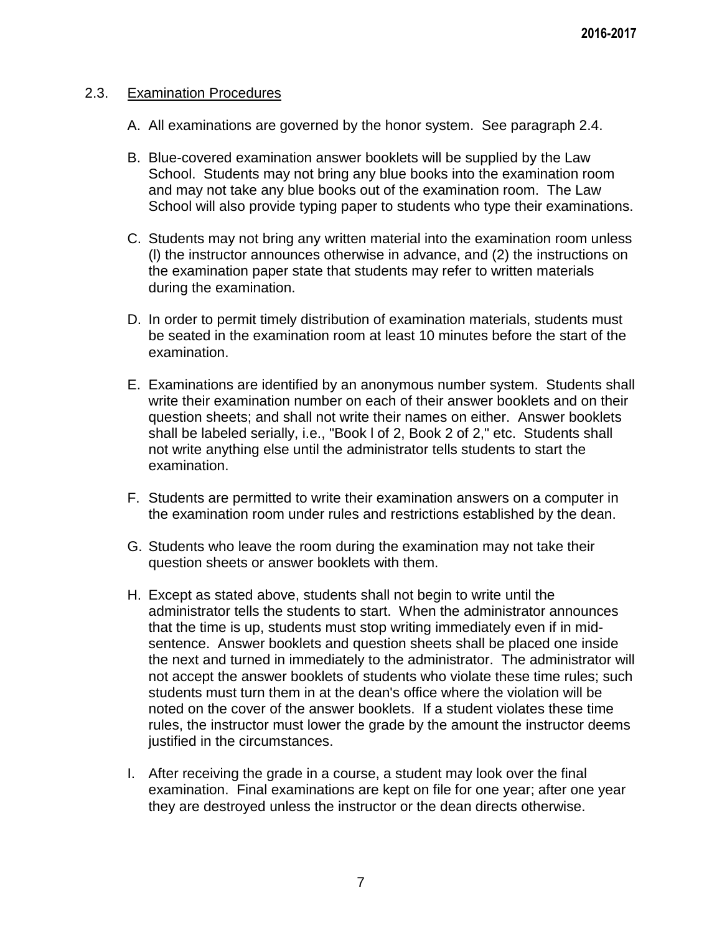#### 2.3. Examination Procedures

- A. All examinations are governed by the honor system. See paragraph 2.4.
- B. Blue-covered examination answer booklets will be supplied by the Law School. Students may not bring any blue books into the examination room and may not take any blue books out of the examination room. The Law School will also provide typing paper to students who type their examinations.
- C. Students may not bring any written material into the examination room unless (l) the instructor announces otherwise in advance, and (2) the instructions on the examination paper state that students may refer to written materials during the examination.
- D. In order to permit timely distribution of examination materials, students must be seated in the examination room at least 10 minutes before the start of the examination.
- E. Examinations are identified by an anonymous number system. Students shall write their examination number on each of their answer booklets and on their question sheets; and shall not write their names on either. Answer booklets shall be labeled serially, i.e., "Book l of 2, Book 2 of 2," etc. Students shall not write anything else until the administrator tells students to start the examination.
- F. Students are permitted to write their examination answers on a computer in the examination room under rules and restrictions established by the dean.
- G. Students who leave the room during the examination may not take their question sheets or answer booklets with them.
- H. Except as stated above, students shall not begin to write until the administrator tells the students to start. When the administrator announces that the time is up, students must stop writing immediately even if in midsentence. Answer booklets and question sheets shall be placed one inside the next and turned in immediately to the administrator. The administrator will not accept the answer booklets of students who violate these time rules; such students must turn them in at the dean's office where the violation will be noted on the cover of the answer booklets. If a student violates these time rules, the instructor must lower the grade by the amount the instructor deems justified in the circumstances.
- I. After receiving the grade in a course, a student may look over the final examination. Final examinations are kept on file for one year; after one year they are destroyed unless the instructor or the dean directs otherwise.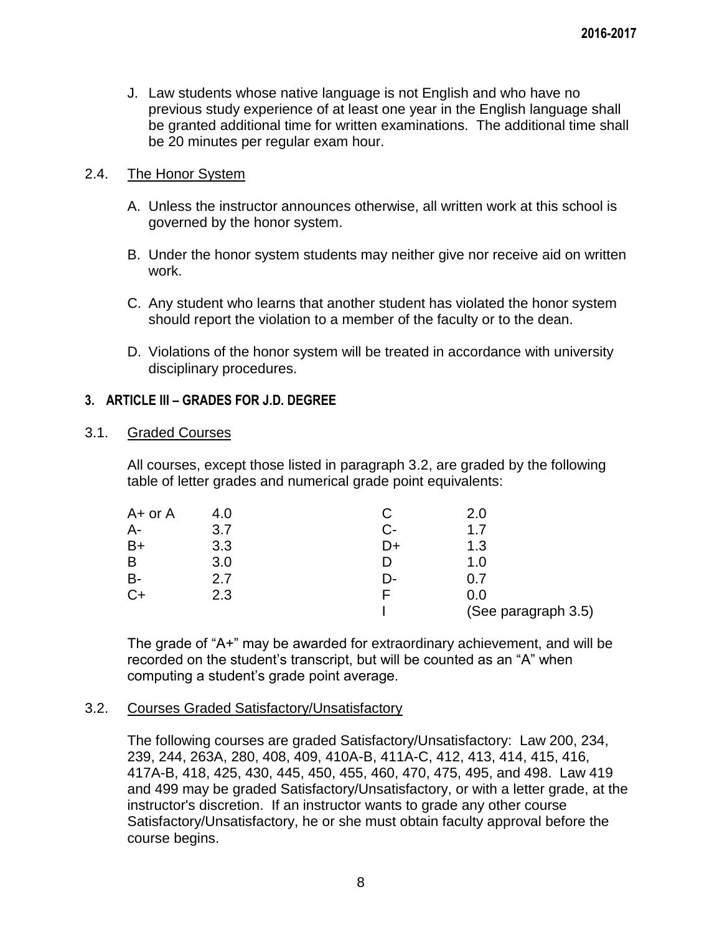J. Law students whose native language is not English and who have no previous study experience of at least one year in the English language shall be granted additional time for written examinations. The additional time shall be 20 minutes per regular exam hour.

## 2.4. The Honor System

- A. Unless the instructor announces otherwise, all written work at this school is governed by the honor system.
- B. Under the honor system students may neither give nor receive aid on written work.
- C. Any student who learns that another student has violated the honor system should report the violation to a member of the faculty or to the dean.
- D. Violations of the honor system will be treated in accordance with university disciplinary procedures.

## **3. ARTICLE III – GRADES FOR J.D. DEGREE**

### 3.1. Graded Courses

All courses, except those listed in paragraph 3.2, are graded by the following table of letter grades and numerical grade point equivalents:

| $A+$ or $A$ | 4.0 |    | 2.0                 |
|-------------|-----|----|---------------------|
| $A -$       | 3.7 | C- | $17$                |
| $B+$        | 3.3 | D+ | 1.3                 |
| B           | 3.0 |    | 1.0                 |
| <b>B-</b>   | 27  | D- | 0.7                 |
|             | 2.3 |    | 0.0                 |
|             |     |    | (See paragraph 3.5) |

The grade of "A+" may be awarded for extraordinary achievement, and will be recorded on the student's transcript, but will be counted as an "A" when computing a student's grade point average.

### 3.2. Courses Graded Satisfactory/Unsatisfactory

The following courses are graded Satisfactory/Unsatisfactory: Law 200, 234, 239, 244, 263A, 280, 408, 409, 410A-B, 411A-C, 412, 413, 414, 415, 416, 417A-B, 418, 425, 430, 445, 450, 455, 460, 470, 475, 495, and 498. Law 419 and 499 may be graded Satisfactory/Unsatisfactory, or with a letter grade, at the instructor's discretion. If an instructor wants to grade any other course Satisfactory/Unsatisfactory, he or she must obtain faculty approval before the course begins.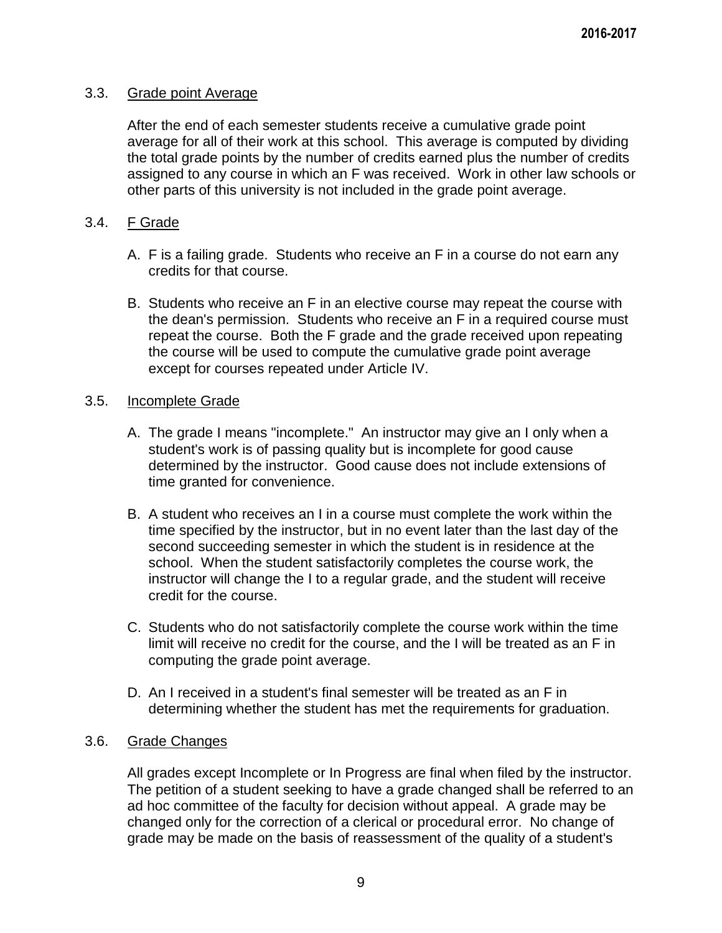## 3.3. Grade point Average

After the end of each semester students receive a cumulative grade point average for all of their work at this school. This average is computed by dividing the total grade points by the number of credits earned plus the number of credits assigned to any course in which an F was received. Work in other law schools or other parts of this university is not included in the grade point average.

## 3.4. F Grade

- A. F is a failing grade. Students who receive an F in a course do not earn any credits for that course.
- B. Students who receive an F in an elective course may repeat the course with the dean's permission. Students who receive an F in a required course must repeat the course. Both the F grade and the grade received upon repeating the course will be used to compute the cumulative grade point average except for courses repeated under Article IV.

### 3.5. Incomplete Grade

- A. The grade I means "incomplete." An instructor may give an I only when a student's work is of passing quality but is incomplete for good cause determined by the instructor. Good cause does not include extensions of time granted for convenience.
- B. A student who receives an I in a course must complete the work within the time specified by the instructor, but in no event later than the last day of the second succeeding semester in which the student is in residence at the school. When the student satisfactorily completes the course work, the instructor will change the I to a regular grade, and the student will receive credit for the course.
- C. Students who do not satisfactorily complete the course work within the time limit will receive no credit for the course, and the I will be treated as an F in computing the grade point average.
- D. An I received in a student's final semester will be treated as an F in determining whether the student has met the requirements for graduation.

# 3.6. Grade Changes

All grades except Incomplete or In Progress are final when filed by the instructor. The petition of a student seeking to have a grade changed shall be referred to an ad hoc committee of the faculty for decision without appeal. A grade may be changed only for the correction of a clerical or procedural error. No change of grade may be made on the basis of reassessment of the quality of a student's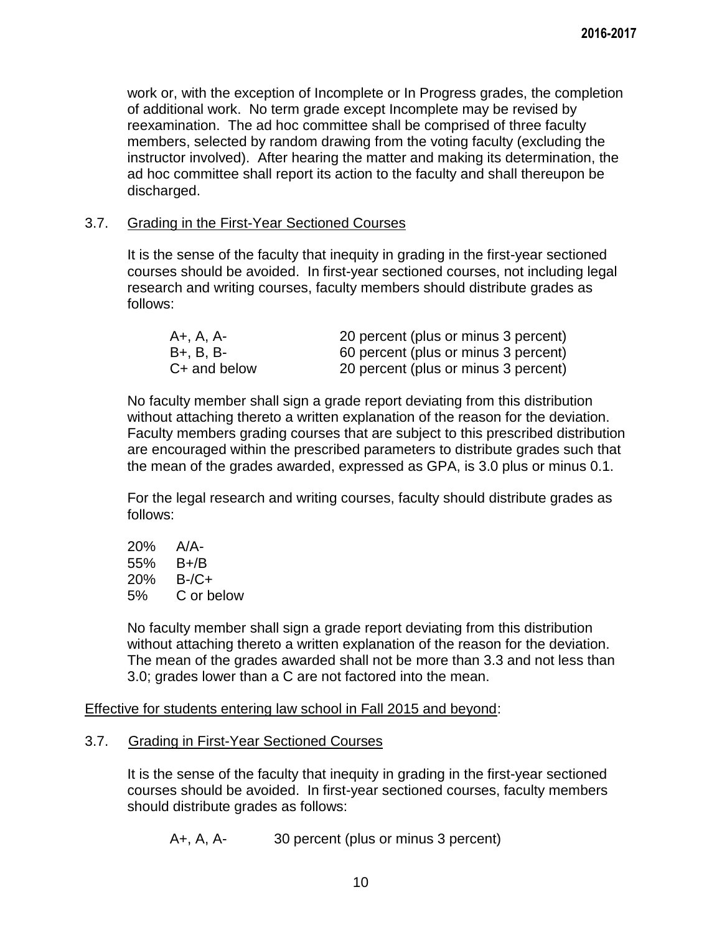work or, with the exception of Incomplete or In Progress grades, the completion of additional work. No term grade except Incomplete may be revised by reexamination. The ad hoc committee shall be comprised of three faculty members, selected by random drawing from the voting faculty (excluding the instructor involved). After hearing the matter and making its determination, the ad hoc committee shall report its action to the faculty and shall thereupon be discharged.

#### 3.7. Grading in the First-Year Sectioned Courses

It is the sense of the faculty that inequity in grading in the first-year sectioned courses should be avoided. In first-year sectioned courses, not including legal research and writing courses, faculty members should distribute grades as follows:

| A+, A, A-    | 20 percent (plus or minus 3 percent) |
|--------------|--------------------------------------|
| B+, B, B-    | 60 percent (plus or minus 3 percent) |
| C+ and below | 20 percent (plus or minus 3 percent) |

No faculty member shall sign a grade report deviating from this distribution without attaching thereto a written explanation of the reason for the deviation. Faculty members grading courses that are subject to this prescribed distribution are encouraged within the prescribed parameters to distribute grades such that the mean of the grades awarded, expressed as GPA, is 3.0 plus or minus 0.1.

For the legal research and writing courses, faculty should distribute grades as follows:

20% A/A-55% B+/B 20% B-/C+ 5% C or below

No faculty member shall sign a grade report deviating from this distribution without attaching thereto a written explanation of the reason for the deviation. The mean of the grades awarded shall not be more than 3.3 and not less than 3.0; grades lower than a C are not factored into the mean.

Effective for students entering law school in Fall 2015 and beyond:

3.7. Grading in First-Year Sectioned Courses

It is the sense of the faculty that inequity in grading in the first-year sectioned courses should be avoided. In first-year sectioned courses, faculty members should distribute grades as follows:

A+, A, A- 30 percent (plus or minus 3 percent)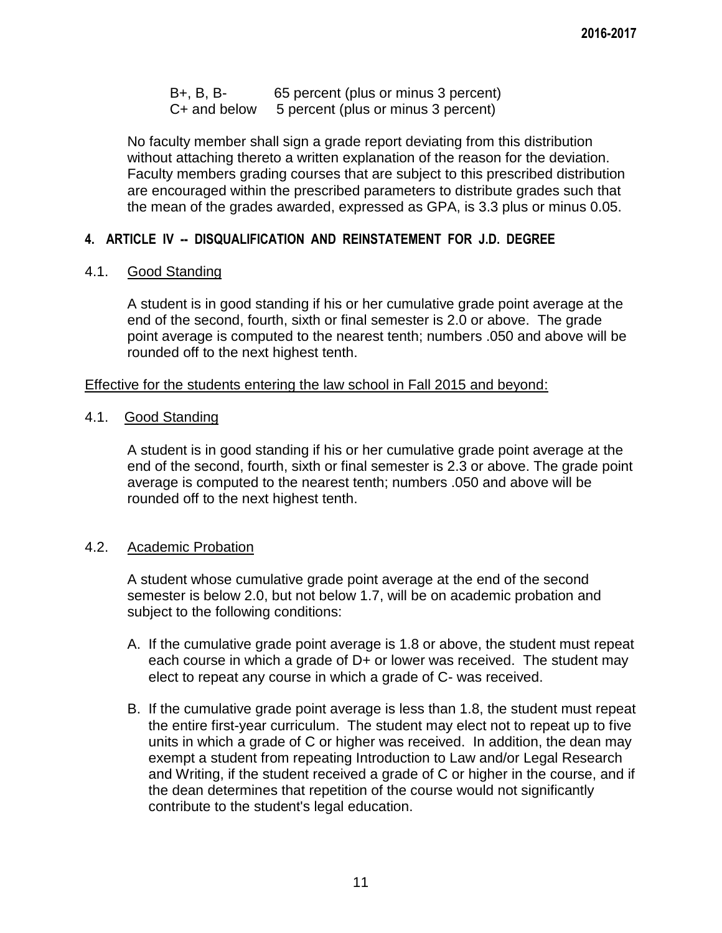B+, B, B- 65 percent (plus or minus 3 percent) C+ and below 5 percent (plus or minus 3 percent)

No faculty member shall sign a grade report deviating from this distribution without attaching thereto a written explanation of the reason for the deviation. Faculty members grading courses that are subject to this prescribed distribution are encouraged within the prescribed parameters to distribute grades such that the mean of the grades awarded, expressed as GPA, is 3.3 plus or minus 0.05.

## **4. ARTICLE IV -- DISQUALIFICATION AND REINSTATEMENT FOR J.D. DEGREE**

### 4.1. Good Standing

A student is in good standing if his or her cumulative grade point average at the end of the second, fourth, sixth or final semester is 2.0 or above. The grade point average is computed to the nearest tenth; numbers .050 and above will be rounded off to the next highest tenth.

#### Effective for the students entering the law school in Fall 2015 and beyond:

#### 4.1. Good Standing

A student is in good standing if his or her cumulative grade point average at the end of the second, fourth, sixth or final semester is 2.3 or above. The grade point average is computed to the nearest tenth; numbers .050 and above will be rounded off to the next highest tenth.

### 4.2. Academic Probation

A student whose cumulative grade point average at the end of the second semester is below 2.0, but not below 1.7, will be on academic probation and subject to the following conditions:

- A. If the cumulative grade point average is 1.8 or above, the student must repeat each course in which a grade of D+ or lower was received. The student may elect to repeat any course in which a grade of C- was received.
- B. If the cumulative grade point average is less than 1.8, the student must repeat the entire first-year curriculum. The student may elect not to repeat up to five units in which a grade of C or higher was received. In addition, the dean may exempt a student from repeating Introduction to Law and/or Legal Research and Writing, if the student received a grade of C or higher in the course, and if the dean determines that repetition of the course would not significantly contribute to the student's legal education.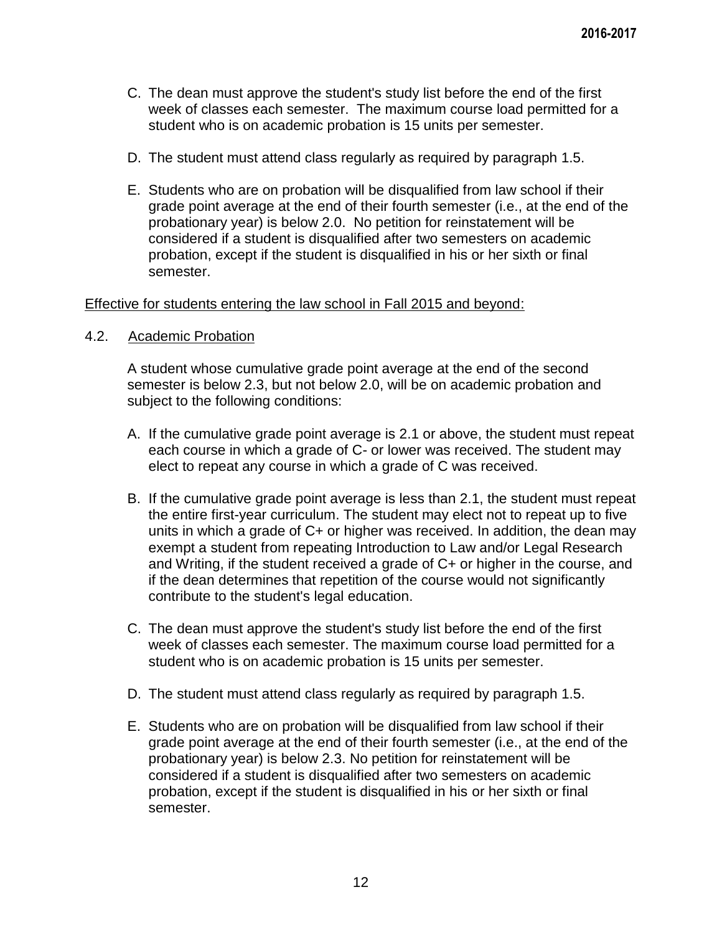- C. The dean must approve the student's study list before the end of the first week of classes each semester. The maximum course load permitted for a student who is on academic probation is 15 units per semester.
- D. The student must attend class regularly as required by paragraph 1.5.
- E. Students who are on probation will be disqualified from law school if their grade point average at the end of their fourth semester (i.e., at the end of the probationary year) is below 2.0. No petition for reinstatement will be considered if a student is disqualified after two semesters on academic probation, except if the student is disqualified in his or her sixth or final semester.

## Effective for students entering the law school in Fall 2015 and beyond:

## 4.2. Academic Probation

A student whose cumulative grade point average at the end of the second semester is below 2.3, but not below 2.0, will be on academic probation and subject to the following conditions:

- A. If the cumulative grade point average is 2.1 or above, the student must repeat each course in which a grade of C- or lower was received. The student may elect to repeat any course in which a grade of C was received.
- B. If the cumulative grade point average is less than 2.1, the student must repeat the entire first-year curriculum. The student may elect not to repeat up to five units in which a grade of C+ or higher was received. In addition, the dean may exempt a student from repeating Introduction to Law and/or Legal Research and Writing, if the student received a grade of C+ or higher in the course, and if the dean determines that repetition of the course would not significantly contribute to the student's legal education.
- C. The dean must approve the student's study list before the end of the first week of classes each semester. The maximum course load permitted for a student who is on academic probation is 15 units per semester.
- D. The student must attend class regularly as required by paragraph 1.5.
- E. Students who are on probation will be disqualified from law school if their grade point average at the end of their fourth semester (i.e., at the end of the probationary year) is below 2.3. No petition for reinstatement will be considered if a student is disqualified after two semesters on academic probation, except if the student is disqualified in his or her sixth or final semester.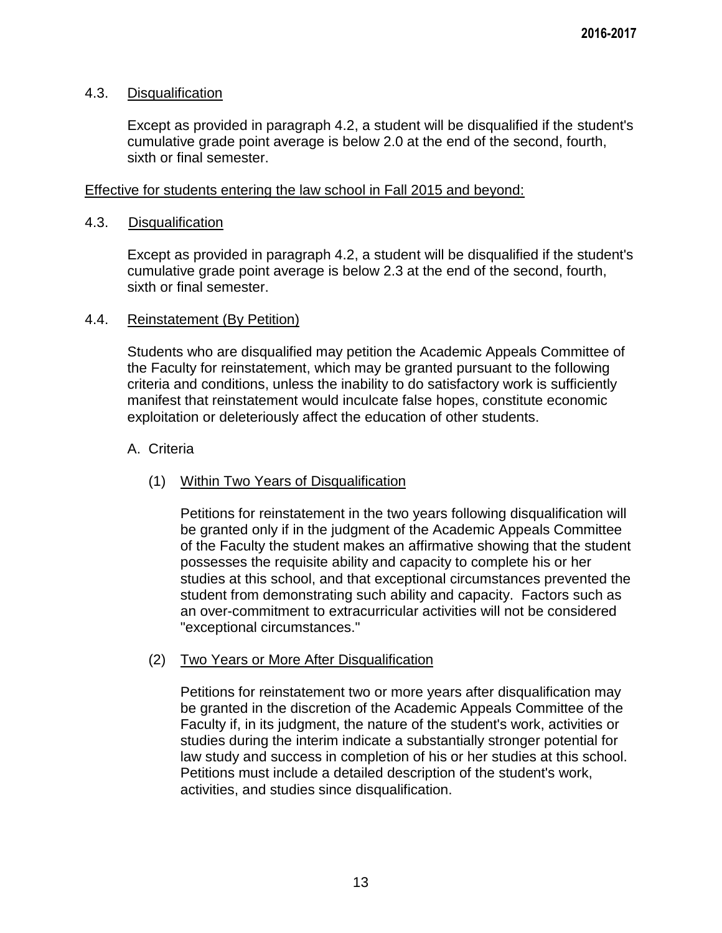### 4.3. Disqualification

Except as provided in paragraph 4.2, a student will be disqualified if the student's cumulative grade point average is below 2.0 at the end of the second, fourth, sixth or final semester.

## Effective for students entering the law school in Fall 2015 and beyond:

## 4.3. Disqualification

Except as provided in paragraph 4.2, a student will be disqualified if the student's cumulative grade point average is below 2.3 at the end of the second, fourth, sixth or final semester.

### 4.4. Reinstatement (By Petition)

Students who are disqualified may petition the Academic Appeals Committee of the Faculty for reinstatement, which may be granted pursuant to the following criteria and conditions, unless the inability to do satisfactory work is sufficiently manifest that reinstatement would inculcate false hopes, constitute economic exploitation or deleteriously affect the education of other students.

## A. Criteria

(1) Within Two Years of Disqualification

Petitions for reinstatement in the two years following disqualification will be granted only if in the judgment of the Academic Appeals Committee of the Faculty the student makes an affirmative showing that the student possesses the requisite ability and capacity to complete his or her studies at this school, and that exceptional circumstances prevented the student from demonstrating such ability and capacity. Factors such as an over-commitment to extracurricular activities will not be considered "exceptional circumstances."

### (2) Two Years or More After Disqualification

Petitions for reinstatement two or more years after disqualification may be granted in the discretion of the Academic Appeals Committee of the Faculty if, in its judgment, the nature of the student's work, activities or studies during the interim indicate a substantially stronger potential for law study and success in completion of his or her studies at this school. Petitions must include a detailed description of the student's work, activities, and studies since disqualification.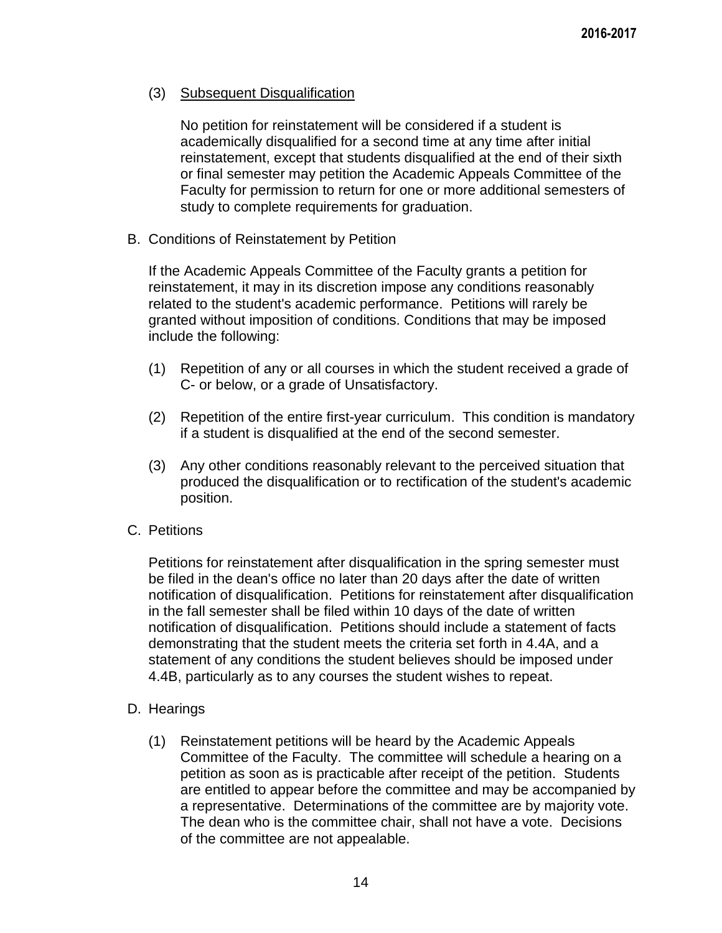(3) Subsequent Disqualification

No petition for reinstatement will be considered if a student is academically disqualified for a second time at any time after initial reinstatement, except that students disqualified at the end of their sixth or final semester may petition the Academic Appeals Committee of the Faculty for permission to return for one or more additional semesters of study to complete requirements for graduation.

B. Conditions of Reinstatement by Petition

If the Academic Appeals Committee of the Faculty grants a petition for reinstatement, it may in its discretion impose any conditions reasonably related to the student's academic performance. Petitions will rarely be granted without imposition of conditions. Conditions that may be imposed include the following:

- (1) Repetition of any or all courses in which the student received a grade of C- or below, or a grade of Unsatisfactory.
- (2) Repetition of the entire first-year curriculum. This condition is mandatory if a student is disqualified at the end of the second semester.
- (3) Any other conditions reasonably relevant to the perceived situation that produced the disqualification or to rectification of the student's academic position.
- C. Petitions

Petitions for reinstatement after disqualification in the spring semester must be filed in the dean's office no later than 20 days after the date of written notification of disqualification. Petitions for reinstatement after disqualification in the fall semester shall be filed within 10 days of the date of written notification of disqualification. Petitions should include a statement of facts demonstrating that the student meets the criteria set forth in 4.4A, and a statement of any conditions the student believes should be imposed under 4.4B, particularly as to any courses the student wishes to repeat.

- D. Hearings
	- (1) Reinstatement petitions will be heard by the Academic Appeals Committee of the Faculty. The committee will schedule a hearing on a petition as soon as is practicable after receipt of the petition. Students are entitled to appear before the committee and may be accompanied by a representative. Determinations of the committee are by majority vote. The dean who is the committee chair, shall not have a vote. Decisions of the committee are not appealable.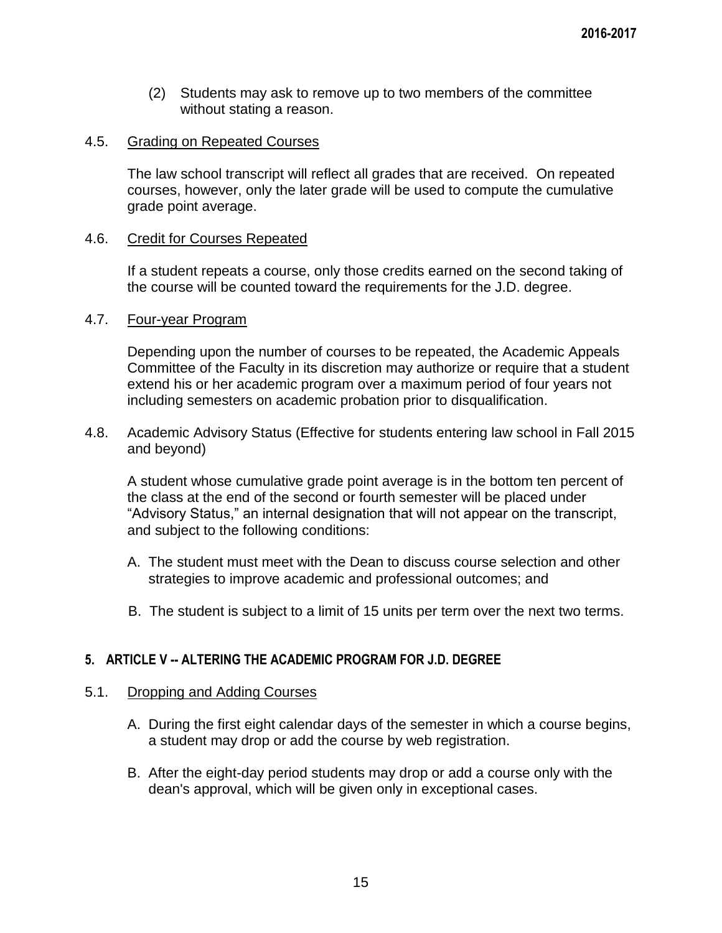(2) Students may ask to remove up to two members of the committee without stating a reason.

## 4.5. Grading on Repeated Courses

The law school transcript will reflect all grades that are received. On repeated courses, however, only the later grade will be used to compute the cumulative grade point average.

## 4.6. Credit for Courses Repeated

If a student repeats a course, only those credits earned on the second taking of the course will be counted toward the requirements for the J.D. degree.

## 4.7. Four-year Program

Depending upon the number of courses to be repeated, the Academic Appeals Committee of the Faculty in its discretion may authorize or require that a student extend his or her academic program over a maximum period of four years not including semesters on academic probation prior to disqualification.

4.8. Academic Advisory Status (Effective for students entering law school in Fall 2015 and beyond)

A student whose cumulative grade point average is in the bottom ten percent of the class at the end of the second or fourth semester will be placed under "Advisory Status," an internal designation that will not appear on the transcript, and subject to the following conditions:

- A. The student must meet with the Dean to discuss course selection and other strategies to improve academic and professional outcomes; and
- B. The student is subject to a limit of 15 units per term over the next two terms.

# **5. ARTICLE V -- ALTERING THE ACADEMIC PROGRAM FOR J.D. DEGREE**

### 5.1. Dropping and Adding Courses

- A. During the first eight calendar days of the semester in which a course begins, a student may drop or add the course by web registration.
- B. After the eight-day period students may drop or add a course only with the dean's approval, which will be given only in exceptional cases.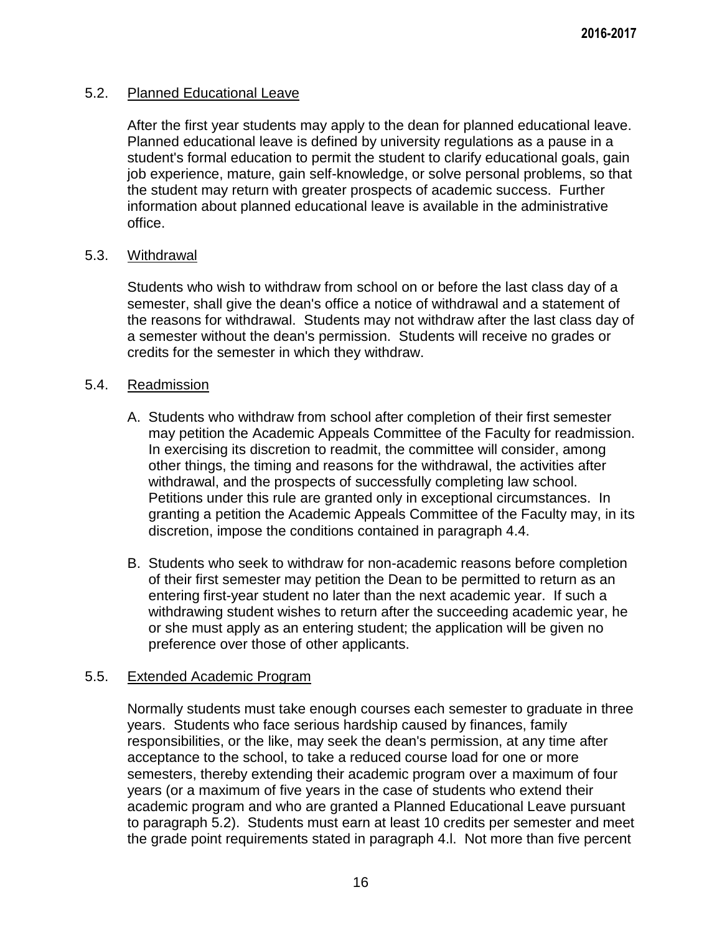## 5.2. Planned Educational Leave

After the first year students may apply to the dean for planned educational leave. Planned educational leave is defined by university regulations as a pause in a student's formal education to permit the student to clarify educational goals, gain job experience, mature, gain self-knowledge, or solve personal problems, so that the student may return with greater prospects of academic success. Further information about planned educational leave is available in the administrative office.

### 5.3. Withdrawal

Students who wish to withdraw from school on or before the last class day of a semester, shall give the dean's office a notice of withdrawal and a statement of the reasons for withdrawal. Students may not withdraw after the last class day of a semester without the dean's permission. Students will receive no grades or credits for the semester in which they withdraw.

#### 5.4. Readmission

- A. Students who withdraw from school after completion of their first semester may petition the Academic Appeals Committee of the Faculty for readmission. In exercising its discretion to readmit, the committee will consider, among other things, the timing and reasons for the withdrawal, the activities after withdrawal, and the prospects of successfully completing law school. Petitions under this rule are granted only in exceptional circumstances. In granting a petition the Academic Appeals Committee of the Faculty may, in its discretion, impose the conditions contained in paragraph 4.4.
- B. Students who seek to withdraw for non-academic reasons before completion of their first semester may petition the Dean to be permitted to return as an entering first-year student no later than the next academic year. If such a withdrawing student wishes to return after the succeeding academic year, he or she must apply as an entering student; the application will be given no preference over those of other applicants.

### 5.5. Extended Academic Program

Normally students must take enough courses each semester to graduate in three years. Students who face serious hardship caused by finances, family responsibilities, or the like, may seek the dean's permission, at any time after acceptance to the school, to take a reduced course load for one or more semesters, thereby extending their academic program over a maximum of four years (or a maximum of five years in the case of students who extend their academic program and who are granted a Planned Educational Leave pursuant to paragraph 5.2). Students must earn at least 10 credits per semester and meet the grade point requirements stated in paragraph 4.l. Not more than five percent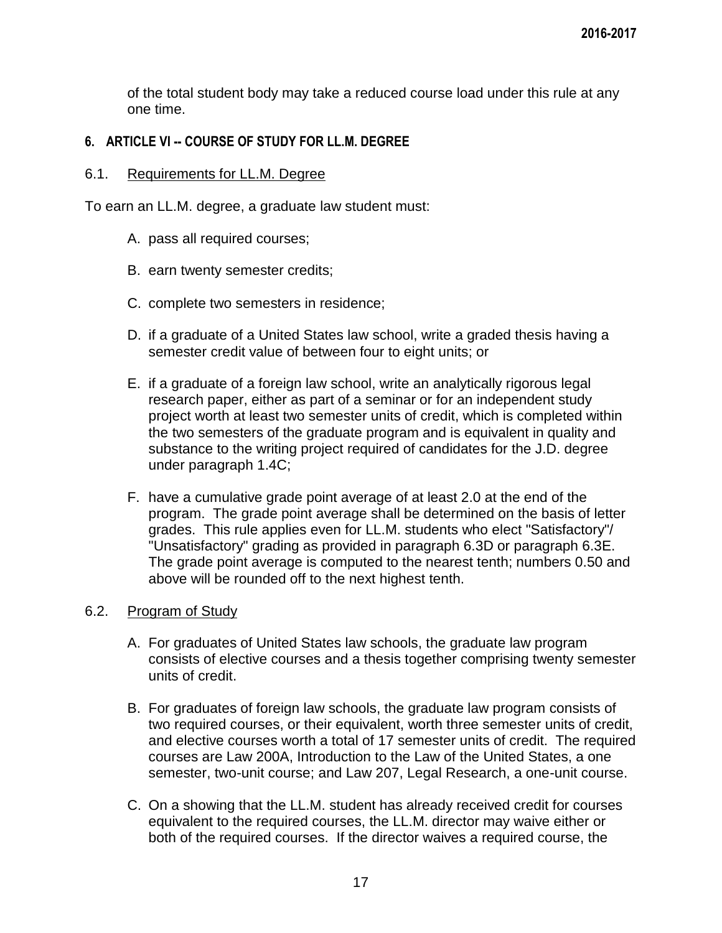of the total student body may take a reduced course load under this rule at any one time.

### **6. ARTICLE VI -- COURSE OF STUDY FOR LL.M. DEGREE**

#### 6.1. Requirements for LL.M. Degree

To earn an LL.M. degree, a graduate law student must:

- A. pass all required courses;
- B. earn twenty semester credits;
- C. complete two semesters in residence;
- D. if a graduate of a United States law school, write a graded thesis having a semester credit value of between four to eight units; or
- E. if a graduate of a foreign law school, write an analytically rigorous legal research paper, either as part of a seminar or for an independent study project worth at least two semester units of credit, which is completed within the two semesters of the graduate program and is equivalent in quality and substance to the writing project required of candidates for the J.D. degree under paragraph 1.4C;
- F. have a cumulative grade point average of at least 2.0 at the end of the program. The grade point average shall be determined on the basis of letter grades. This rule applies even for LL.M. students who elect "Satisfactory"/ "Unsatisfactory" grading as provided in paragraph 6.3D or paragraph 6.3E. The grade point average is computed to the nearest tenth; numbers 0.50 and above will be rounded off to the next highest tenth.

### 6.2. Program of Study

- A. For graduates of United States law schools, the graduate law program consists of elective courses and a thesis together comprising twenty semester units of credit.
- B. For graduates of foreign law schools, the graduate law program consists of two required courses, or their equivalent, worth three semester units of credit, and elective courses worth a total of 17 semester units of credit. The required courses are Law 200A, Introduction to the Law of the United States, a one semester, two-unit course; and Law 207, Legal Research, a one-unit course.
- C. On a showing that the LL.M. student has already received credit for courses equivalent to the required courses, the LL.M. director may waive either or both of the required courses. If the director waives a required course, the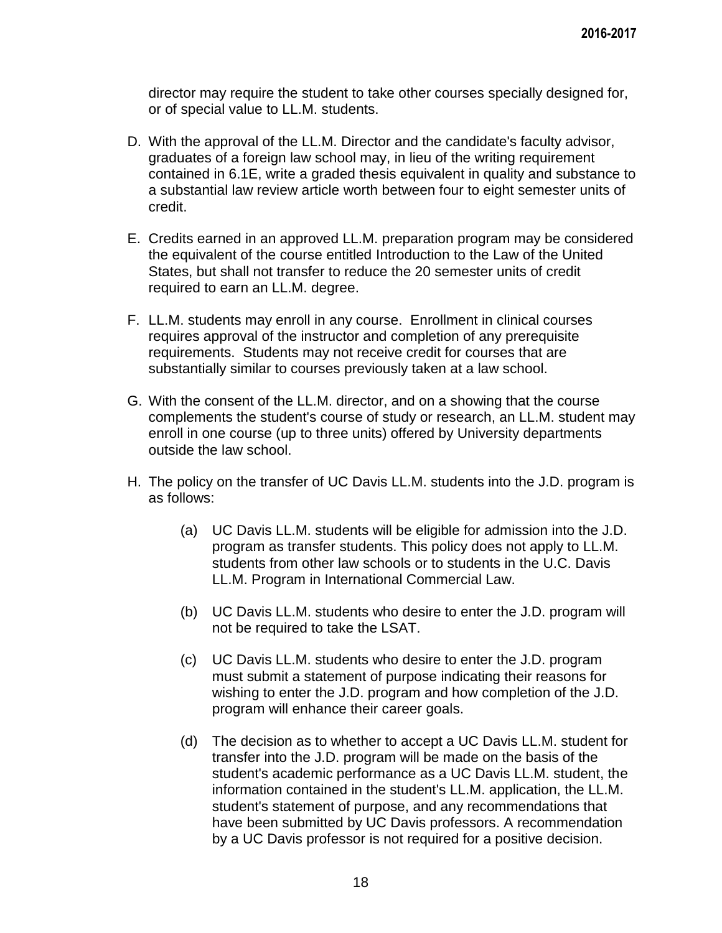director may require the student to take other courses specially designed for, or of special value to LL.M. students.

- D. With the approval of the LL.M. Director and the candidate's faculty advisor, graduates of a foreign law school may, in lieu of the writing requirement contained in 6.1E, write a graded thesis equivalent in quality and substance to a substantial law review article worth between four to eight semester units of credit.
- E. Credits earned in an approved LL.M. preparation program may be considered the equivalent of the course entitled Introduction to the Law of the United States, but shall not transfer to reduce the 20 semester units of credit required to earn an LL.M. degree.
- F. LL.M. students may enroll in any course. Enrollment in clinical courses requires approval of the instructor and completion of any prerequisite requirements. Students may not receive credit for courses that are substantially similar to courses previously taken at a law school.
- G. With the consent of the LL.M. director, and on a showing that the course complements the student's course of study or research, an LL.M. student may enroll in one course (up to three units) offered by University departments outside the law school.
- H. The policy on the transfer of UC Davis LL.M. students into the J.D. program is as follows:
	- (a) UC Davis LL.M. students will be eligible for admission into the J.D. program as transfer students. This policy does not apply to LL.M. students from other law schools or to students in the U.C. Davis LL.M. Program in International Commercial Law.
	- (b) UC Davis LL.M. students who desire to enter the J.D. program will not be required to take the LSAT.
	- (c) UC Davis LL.M. students who desire to enter the J.D. program must submit a statement of purpose indicating their reasons for wishing to enter the J.D. program and how completion of the J.D. program will enhance their career goals.
	- (d) The decision as to whether to accept a UC Davis LL.M. student for transfer into the J.D. program will be made on the basis of the student's academic performance as a UC Davis LL.M. student, the information contained in the student's LL.M. application, the LL.M. student's statement of purpose, and any recommendations that have been submitted by UC Davis professors. A recommendation by a UC Davis professor is not required for a positive decision.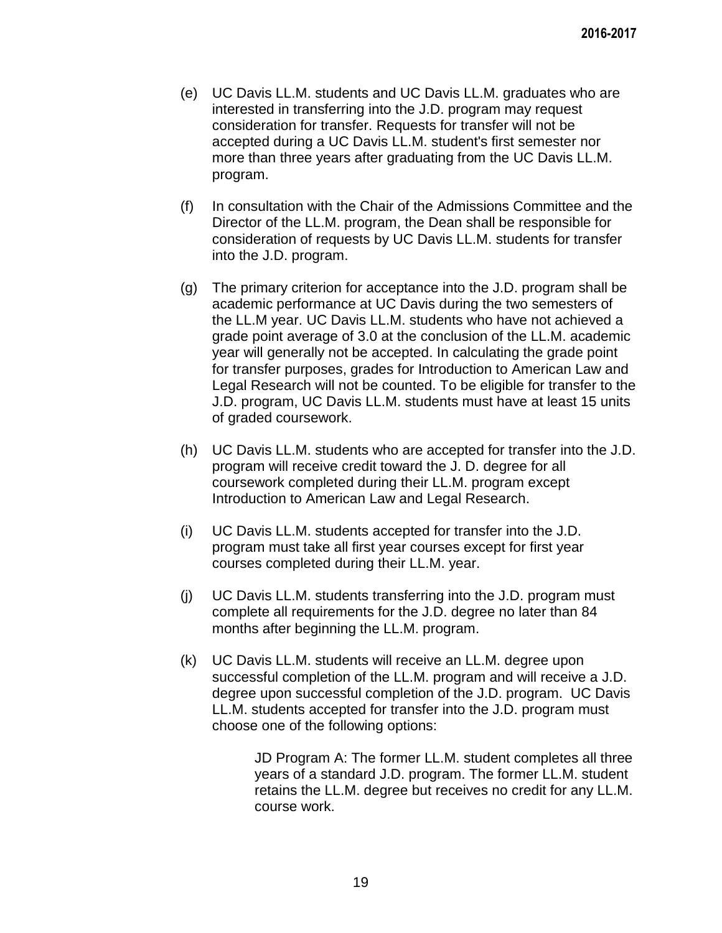- (e) UC Davis LL.M. students and UC Davis LL.M. graduates who are interested in transferring into the J.D. program may request consideration for transfer. Requests for transfer will not be accepted during a UC Davis LL.M. student's first semester nor more than three years after graduating from the UC Davis LL.M. program.
- (f) In consultation with the Chair of the Admissions Committee and the Director of the LL.M. program, the Dean shall be responsible for consideration of requests by UC Davis LL.M. students for transfer into the J.D. program.
- (g) The primary criterion for acceptance into the J.D. program shall be academic performance at UC Davis during the two semesters of the LL.M year. UC Davis LL.M. students who have not achieved a grade point average of 3.0 at the conclusion of the LL.M. academic year will generally not be accepted. In calculating the grade point for transfer purposes, grades for Introduction to American Law and Legal Research will not be counted. To be eligible for transfer to the J.D. program, UC Davis LL.M. students must have at least 15 units of graded coursework.
- (h) UC Davis LL.M. students who are accepted for transfer into the J.D. program will receive credit toward the J. D. degree for all coursework completed during their LL.M. program except Introduction to American Law and Legal Research.
- (i) UC Davis LL.M. students accepted for transfer into the J.D. program must take all first year courses except for first year courses completed during their LL.M. year.
- (j) UC Davis LL.M. students transferring into the J.D. program must complete all requirements for the J.D. degree no later than 84 months after beginning the LL.M. program.
- (k) UC Davis LL.M. students will receive an LL.M. degree upon successful completion of the LL.M. program and will receive a J.D. degree upon successful completion of the J.D. program. UC Davis LL.M. students accepted for transfer into the J.D. program must choose one of the following options:

JD Program A: The former LL.M. student completes all three years of a standard J.D. program. The former LL.M. student retains the LL.M. degree but receives no credit for any LL.M. course work.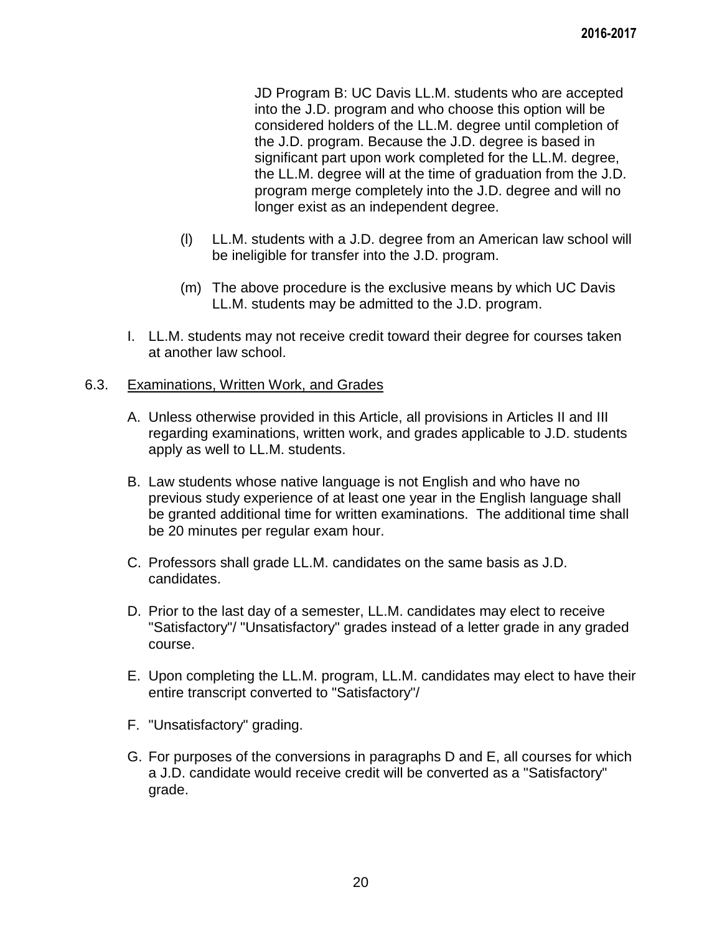JD Program B: UC Davis LL.M. students who are accepted into the J.D. program and who choose this option will be considered holders of the LL.M. degree until completion of the J.D. program. Because the J.D. degree is based in significant part upon work completed for the LL.M. degree, the LL.M. degree will at the time of graduation from the J.D. program merge completely into the J.D. degree and will no longer exist as an independent degree.

- (l) LL.M. students with a J.D. degree from an American law school will be ineligible for transfer into the J.D. program.
- (m) The above procedure is the exclusive means by which UC Davis LL.M. students may be admitted to the J.D. program.
- I. LL.M. students may not receive credit toward their degree for courses taken at another law school.

### 6.3. Examinations, Written Work, and Grades

- A. Unless otherwise provided in this Article, all provisions in Articles II and III regarding examinations, written work, and grades applicable to J.D. students apply as well to LL.M. students.
- B. Law students whose native language is not English and who have no previous study experience of at least one year in the English language shall be granted additional time for written examinations. The additional time shall be 20 minutes per regular exam hour.
- C. Professors shall grade LL.M. candidates on the same basis as J.D. candidates.
- D. Prior to the last day of a semester, LL.M. candidates may elect to receive "Satisfactory"/ "Unsatisfactory" grades instead of a letter grade in any graded course.
- E. Upon completing the LL.M. program, LL.M. candidates may elect to have their entire transcript converted to "Satisfactory"/
- F. "Unsatisfactory" grading.
- G. For purposes of the conversions in paragraphs D and E, all courses for which a J.D. candidate would receive credit will be converted as a "Satisfactory" grade.